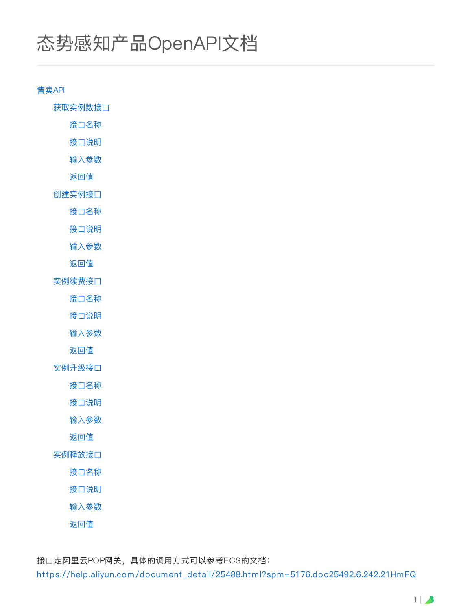# 态势感知产品OpenAPI⽂档

售卖API

获取实例数接口

接口名称

接口说明

输⼊参数

返回值

创建实例接⼝

接口名称

接口说明

输⼊参数

返回值

实例续费接口

接口名称

接口说明

输⼊参数

返回值

实例升级接口

接口名称

接口说明

输⼊参数

返回值

实例释放接口

接口名称

接口说明

输⼊参数

返回值

接口走阿里云POP网关, 具体的调用方式可以参考ECS的文档:

[https://help.aliyun.com/document\\_detail/25488.html?spm=5176.doc25492.6.242.21HmFQ](https://help.aliyun.com/document_detail/25488.html?spm=5176.doc25492.6.242.21HmFQ)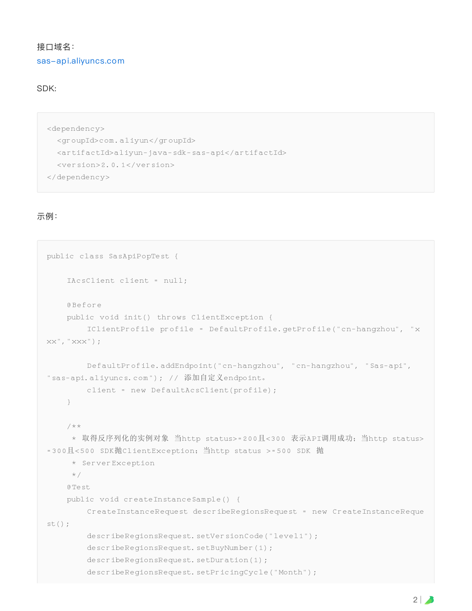## 接口域名: [sas-api.aliyuncs.com](http://sas-api.aliyuncs.com/)

#### SDK:

```
<dependency>
 <groupId>com.aliyun</groupId>
 <artifactId>aliyun-java-sdk-sas-api</artifactId>
 <version>2.0.1</version>
</dependency>
```
#### 示例:

```
public class SasApiPopTest {
    IAcsClient client = null;
    @Before
    public void init() throws ClientException {
        IClientProfile profile = DefaultProfile.getProfile("cn-hangzhou", "x
XX'', "XXX'');
        DefaultProfile.addEndpoint("cn-hangzhou", "cn-hangzhou", "Sas-api",
"sas-api.aliyuncs.com"); // 添加自定义endpoint。
        client = new DefaultAcsClient(profile);
    }
    /**
     * 取得反序列化的实例对象 当http status>=200且<300 表示API调用成功;当http status>
=300且<500 SDK抛ClientException;当http status >=500 SDK 抛
     * ServerException
    \star /
    @Test
    public void createInstanceSample() {
        CreateInstanceRequest describeRegionsRequest = new CreateInstanceReque
st();
        describeRegionsRequest.setVersionCode("level1");
        describeRegionsRequest.setBuyNumber(1);
        describeRegionsRequest.setDuration(1);
        describeRegionsRequest.setPricingCycle("Month");
```
 $2 \mid \bullet$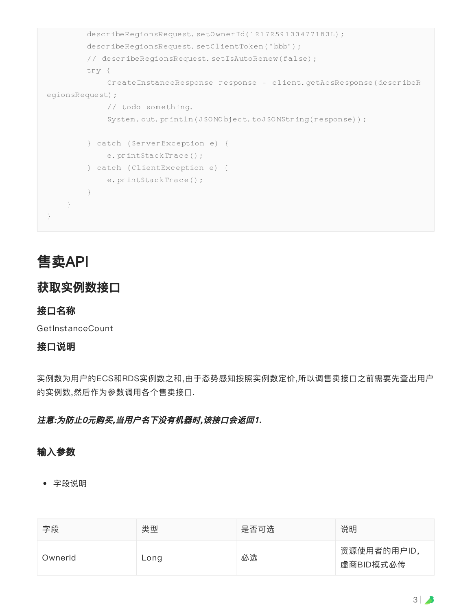```
describeRegionsRequest.setOwnerId(1217259133477183L);
        describeRegionsRequest.setClientToken("bbb");
        // describeRegionsRequest.setIsAutoRenew(false);
        try {
            CreateInstanceResponse response = client.getAcsResponse(describeR
egionsRequest);
            // todo something.
            System.out.println(JSONObject.toJSONString(response));
        } catch (ServerException e) {
            e.printStackTrace();
        } catch (ClientException e) {
            e.printStackTrace();
        }
    }
}
```
# 售卖API

# 获取实例数接口

#### 接口名称

GetInstanceCount

#### 接口说明

实例数为用户的ECS和RDS实例数之和,由于态势感知按照实例数定价,所以调售卖接口之前需要先查出用户 的实例数,然后作为参数调用各个售卖接口.

注意:为防止0元购买,当用户名下没有机器时,该接口会返回1.

#### 输⼊参数

| 字段      | 类型   | 是否可选 | 说明                       |
|---------|------|------|--------------------------|
| Ownerld | Long | 必选   | 资源使用者的用户ID,<br>虚商BID模式必传 |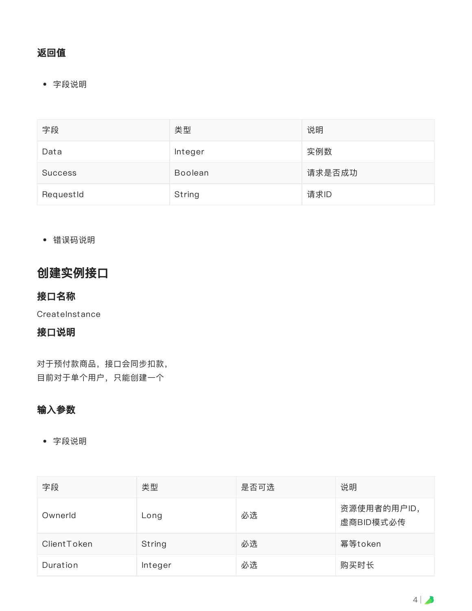## 返回值

字段说明

| 字段             | 类型             | 说明     |
|----------------|----------------|--------|
| Data           | Integer        | 实例数    |
| <b>Success</b> | <b>Boolean</b> | 请求是否成功 |
| RequestId      | String         | 请求ID   |

错误码说明

# 创建实例接⼝

## 接口名称

**CreateInstance** 

#### 接口说明

对于预付款商品,接口会同步扣款, 目前对于单个用户,只能创建一个

## 输⼊参数

| 字段          | 类型      | 是否可选 | 说明                       |
|-------------|---------|------|--------------------------|
| Ownerld     | Long    | 必选   | 资源使用者的用户ID,<br>虚商BID模式必传 |
| ClientToken | String  | 必选   | 幂等token                  |
| Duration    | Integer | 必选   | 购买时长                     |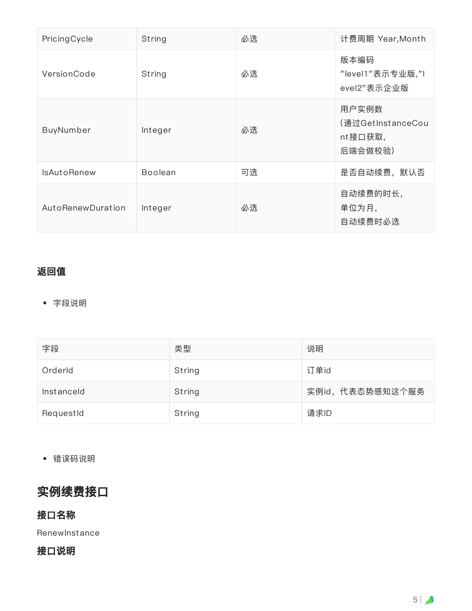| PricingCycle       | String         | 必选 | 计费周期 Year,Month                                  |
|--------------------|----------------|----|--------------------------------------------------|
| VersionCode        | String         | 必选 | 版本编码<br>"level1"表示专业版,"I<br>evel2"表示企业版          |
| BuyNumber          | Integer        | 必选 | 用户实例数<br>(通过GetInstanceCou<br>nt接口获取,<br>后端会做校验) |
| <b>IsAutoRenew</b> | <b>Boolean</b> | 可选 | 是否自动续费,默认否                                       |
| AutoRenewDuration  | Integer        | 必选 | 自动续费的时长,<br>单位为月,<br>自动续费时必选                     |

#### 返回值

字段说明

| 字段         | 类型     | 说明               |
|------------|--------|------------------|
| Orderld    | String | 订单id             |
| Instanceld | String | 实例id, 代表态势感知这个服务 |
| RequestId  | String | 请求ID             |

错误码说明

# 实例续费接口

## 接口名称

RenewInstance

## 接口说明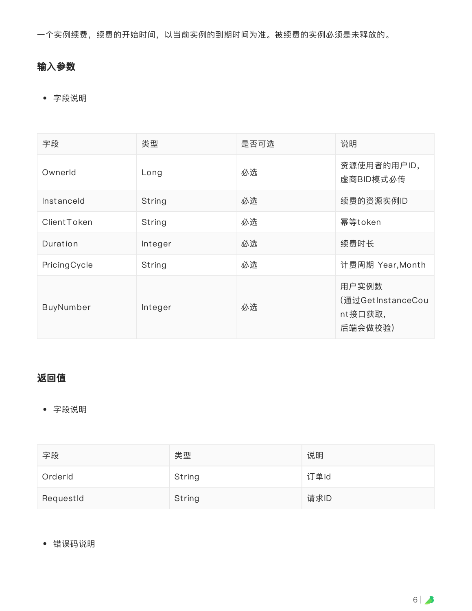⼀个实例续费,续费的开始时间,以当前实例的到期时间为准。被续费的实例必须是未释放的。

## 输⼊参数

字段说明

| 字段           | 类型      | 是否可选 | 说明                                               |
|--------------|---------|------|--------------------------------------------------|
| Ownerld      | Long    | 必选   | 资源使用者的用户ID,<br>虚商BID模式必传                         |
| Instanceld   | String  | 必选   | 续费的资源实例ID                                        |
| ClientToken  | String  | 必选   | 幂等token                                          |
| Duration     | Integer | 必选   | 续费时长                                             |
| PricingCycle | String  | 必选   | 计费周期 Year, Month                                 |
| BuyNumber    | Integer | 必选   | 用户实例数<br>(通过GetInstanceCou<br>nt接口获取,<br>后端会做校验) |

# 返回值

字段说明

| 字段        | 类型     | 说明   |
|-----------|--------|------|
| Orderld   | String | 订单id |
| RequestId | String | 请求ID |

错误码说明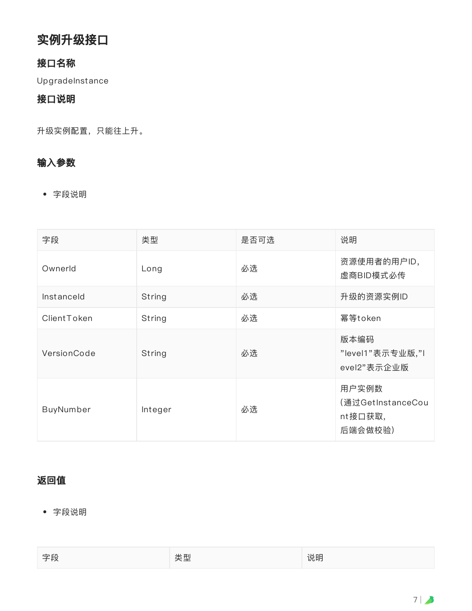# 实例升级接口

#### 接口名称

UpgradeInstance

#### 接口说明

升级实例配置,只能往上升。

#### 输⼊参数

字段说明

| 字段          | 类型      | 是否可选 | 说明                                               |
|-------------|---------|------|--------------------------------------------------|
| Ownerld     | Long    | 必选   | 资源使用者的用户ID,<br>虚商BID模式必传                         |
| Instanceld  | String  | 必选   | 升级的资源实例ID                                        |
| ClientToken | String  | 必选   | 幂等token                                          |
| VersionCode | String  | 必选   | 版本编码<br>"level1"表示专业版,"I<br>evel2"表示企业版          |
| BuyNumber   | Integer | 必选   | 用户实例数<br>(通过GetInstanceCou<br>nt接口获取,<br>后端会做校验) |

### 返回值

| 字段         | ᆩ    | . n m |
|------------|------|-------|
| $\sim$ 120 | ____ | 况明    |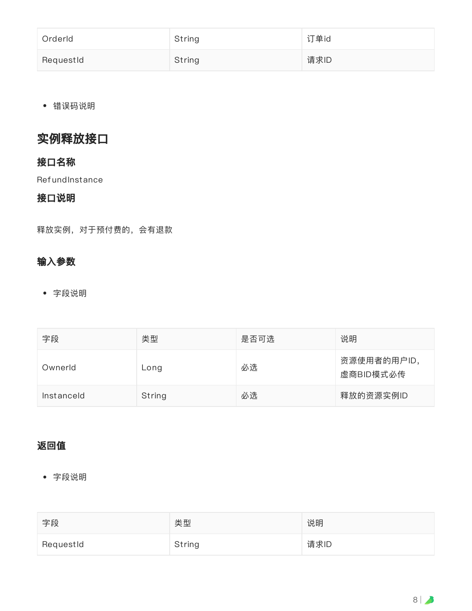| Orderld   | String | 订单id |
|-----------|--------|------|
| RequestId | String | 请求ID |

错误码说明

# 实例释放接口

#### 接口名称

**RefundInstance** 

#### 接口说明

释放实例,对于预付费的,会有退款

#### 输⼊参数

字段说明

| 字段         | 类型     | 是否可选 | 说明                       |
|------------|--------|------|--------------------------|
| Ownerld    | Long   | 必选   | 资源使用者的用户ID,<br>虚商BID模式必传 |
| Instanceld | String | 必选   | 释放的资源实例ID                |

#### 返回值

| 字段        | 类型     | 说明   |
|-----------|--------|------|
| RequestId | String | 请求ID |